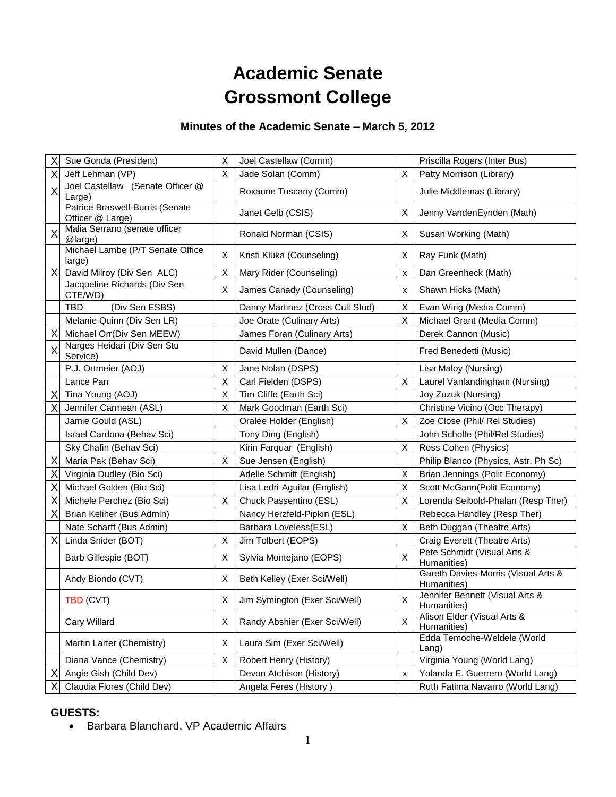# **Academic Senate Grossmont College**

## **Minutes of the Academic Senate – March 5, 2012**

| Χ | Sue Gonda (President)                               | X | Joel Castellaw (Comm)            |   | Priscilla Rogers (Inter Bus)                       |
|---|-----------------------------------------------------|---|----------------------------------|---|----------------------------------------------------|
| X | Jeff Lehman (VP)                                    | X | Jade Solan (Comm)                | X | Patty Morrison (Library)                           |
| X | Joel Castellaw (Senate Officer @<br>Large)          |   | Roxanne Tuscany (Comm)           |   | Julie Middlemas (Library)                          |
|   | Patrice Braswell-Burris (Senate<br>Officer @ Large) |   | Janet Gelb (CSIS)                | X | Jenny VandenEynden (Math)                          |
| X | Malia Serrano (senate officer<br>@large)            |   | Ronald Norman (CSIS)             | Χ | Susan Working (Math)                               |
|   | Michael Lambe (P/T Senate Office<br>large)          | X | Kristi Kluka (Counseling)        | Χ | Ray Funk (Math)                                    |
| X | David Milroy (Div Sen ALC)                          | X | Mary Rider (Counseling)          | x | Dan Greenheck (Math)                               |
|   | Jacqueline Richards (Div Sen<br>CTE/WD)             | X | James Canady (Counseling)        | x | Shawn Hicks (Math)                                 |
|   | (Div Sen ESBS)<br>TBD                               |   | Danny Martinez (Cross Cult Stud) | X | Evan Wirig (Media Comm)                            |
|   | Melanie Quinn (Div Sen LR)                          |   | Joe Orate (Culinary Arts)        | Χ | Michael Grant (Media Comm)                         |
| X | Michael Orr(Div Sen MEEW)                           |   | James Foran (Culinary Arts)      |   | Derek Cannon (Music)                               |
| X | Narges Heidari (Div Sen Stu<br>Service)             |   | David Mullen (Dance)             |   | Fred Benedetti (Music)                             |
|   | P.J. Ortmeier (AOJ)                                 | X | Jane Nolan (DSPS)                |   | Lisa Maloy (Nursing)                               |
|   | Lance Parr                                          | X | Carl Fielden (DSPS)              | X | Laurel Vanlandingham (Nursing)                     |
| X | Tina Young (AOJ)                                    | X | Tim Cliffe (Earth Sci)           |   | Joy Zuzuk (Nursing)                                |
| Χ | Jennifer Carmean (ASL)                              | X | Mark Goodman (Earth Sci)         |   | Christine Vicino (Occ Therapy)                     |
|   | Jamie Gould (ASL)                                   |   | Oralee Holder (English)          | X | Zoe Close (Phil/ Rel Studies)                      |
|   | Israel Cardona (Behav Sci)                          |   | Tony Ding (English)              |   | John Scholte (Phil/Rel Studies)                    |
|   | Sky Chafin (Behav Sci)                              |   | Kirin Farquar (English)          | X | Ross Cohen (Physics)                               |
| Χ | Maria Pak (Behav Sci)                               | Х | Sue Jensen (English)             |   | Philip Blanco (Physics, Astr. Ph Sc)               |
| X | Virginia Dudley (Bio Sci)                           |   | Adelle Schmitt (English)         | Χ | Brian Jennings (Polit Economy)                     |
| Χ | Michael Golden (Bio Sci)                            |   | Lisa Ledri-Aguilar (English)     | X | Scott McGann(Polit Economy)                        |
| X | Michele Perchez (Bio Sci)                           | X | Chuck Passentino (ESL)           | X | Lorenda Seibold-Phalan (Resp Ther)                 |
| X | Brian Keliher (Bus Admin)                           |   | Nancy Herzfeld-Pipkin (ESL)      |   | Rebecca Handley (Resp Ther)                        |
|   | Nate Scharff (Bus Admin)                            |   | Barbara Loveless(ESL)            | Χ | Beth Duggan (Theatre Arts)                         |
| X | Linda Snider (BOT)                                  | X | Jim Tolbert (EOPS)               |   | Craig Everett (Theatre Arts)                       |
|   | Barb Gillespie (BOT)                                | X | Sylvia Montejano (EOPS)          | X | Pete Schmidt (Visual Arts &<br>Humanities)         |
|   | Andy Biondo (CVT)                                   | Χ | Beth Kelley (Exer Sci/Well)      |   | Gareth Davies-Morris (Visual Arts &<br>Humanities) |
|   | <b>TBD (CVT)</b>                                    | X | Jim Symington (Exer Sci/Well)    | X | Jennifer Bennett (Visual Arts &<br>Humanities)     |
|   | Cary Willard                                        | X | Randy Abshier (Exer Sci/Well)    | X | Alison Elder (Visual Arts &<br>Humanities)         |
|   | Martin Larter (Chemistry)                           | Χ | Laura Sim (Exer Sci/Well)        |   | Edda Temoche-Weldele (World<br>$L$ ang)            |
|   | Diana Vance (Chemistry)                             | X | Robert Henry (History)           |   | Virginia Young (World Lang)                        |
| Χ | Angie Gish (Child Dev)                              |   | Devon Atchison (History)         | X | Yolanda E. Guerrero (World Lang)                   |
| Χ | Claudia Flores (Child Dev)                          |   | Angela Feres (History)           |   | Ruth Fatima Navarro (World Lang)                   |
|   |                                                     |   |                                  |   |                                                    |

### **GUESTS:**

• Barbara Blanchard, VP Academic Affairs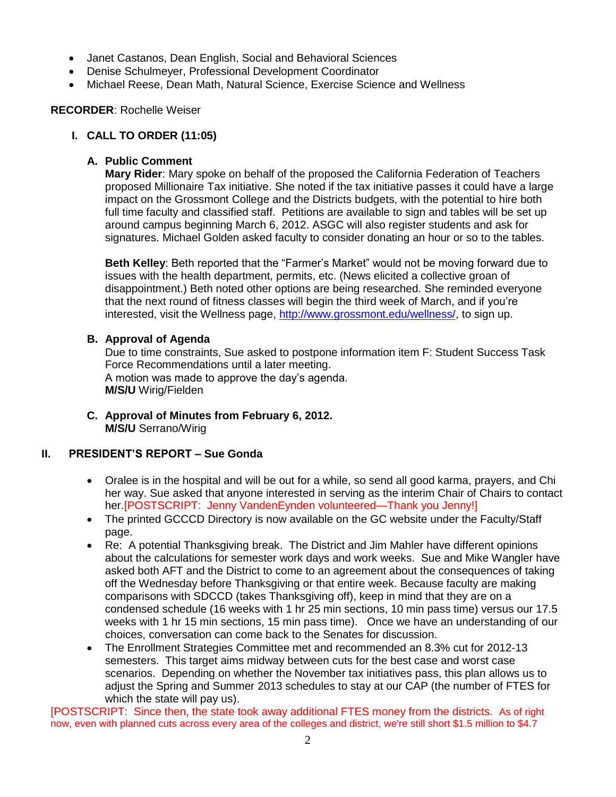- Janet Castanos, Dean English, Social and Behavioral Sciences
- Denise Schulmeyer, Professional Development Coordinator
- Michael Reese, Dean Math, Natural Science, Exercise Science and Wellness

#### **RECORDER**: Rochelle Weiser

## **I. CALL TO ORDER (11:05)**

#### **A. Public Comment**

**Mary Rider**: Mary spoke on behalf of the proposed the California Federation of Teachers proposed Millionaire Tax initiative. She noted if the tax initiative passes it could have a large impact on the Grossmont College and the Districts budgets, with the potential to hire both full time faculty and classified staff. Petitions are available to sign and tables will be set up around campus beginning March 6, 2012. ASGC will also register students and ask for signatures. Michael Golden asked faculty to consider donating an hour or so to the tables.

**Beth Kelley**: Beth reported that the "Farmer's Market" would not be moving forward due to issues with the health department, permits, etc. (News elicited a collective groan of disappointment.) Beth noted other options are being researched. She reminded everyone that the next round of fitness classes will begin the third week of March, and if you're interested, visit the Wellness page, [http://www.grossmont.edu/wellness/,](http://www.grossmont.edu/wellness/) to sign up.

#### **B. Approval of Agenda**

Due to time constraints, Sue asked to postpone information item F: Student Success Task Force Recommendations until a later meeting. A motion was made to approve the day's agenda. **M/S/U** Wirig/Fielden

**C. Approval of Minutes from February 6, 2012. M/S/U** Serrano/Wirig

## **II. PRESIDENT'S REPORT – Sue Gonda**

- Oralee is in the hospital and will be out for a while, so send all good karma, prayers, and Chi her way. Sue asked that anyone interested in serving as the interim Chair of Chairs to contact her.[POSTSCRIPT: Jenny VandenEynden volunteered—Thank you Jenny!]
- The printed GCCCD Directory is now available on the GC website under the Faculty/Staff page.
- Re: A potential Thanksgiving break. The District and Jim Mahler have different opinions about the calculations for semester work days and work weeks. Sue and Mike Wangler have asked both AFT and the District to come to an agreement about the consequences of taking off the Wednesday before Thanksgiving or that entire week. Because faculty are making comparisons with SDCCD (takes Thanksgiving off), keep in mind that they are on a condensed schedule (16 weeks with 1 hr 25 min sections, 10 min pass time) versus our 17.5 weeks with 1 hr 15 min sections, 15 min pass time). Once we have an understanding of our choices, conversation can come back to the Senates for discussion.
- The Enrollment Strategies Committee met and recommended an 8.3% cut for 2012-13 semesters. This target aims midway between cuts for the best case and worst case scenarios. Depending on whether the November tax initiatives pass, this plan allows us to adjust the Spring and Summer 2013 schedules to stay at our CAP (the number of FTES for which the state will pay us).

[POSTSCRIPT: Since then, the state took away additional FTES money from the districts. As of right now, even with planned cuts across every area of the colleges and district, we're still short \$1.5 million to \$4.7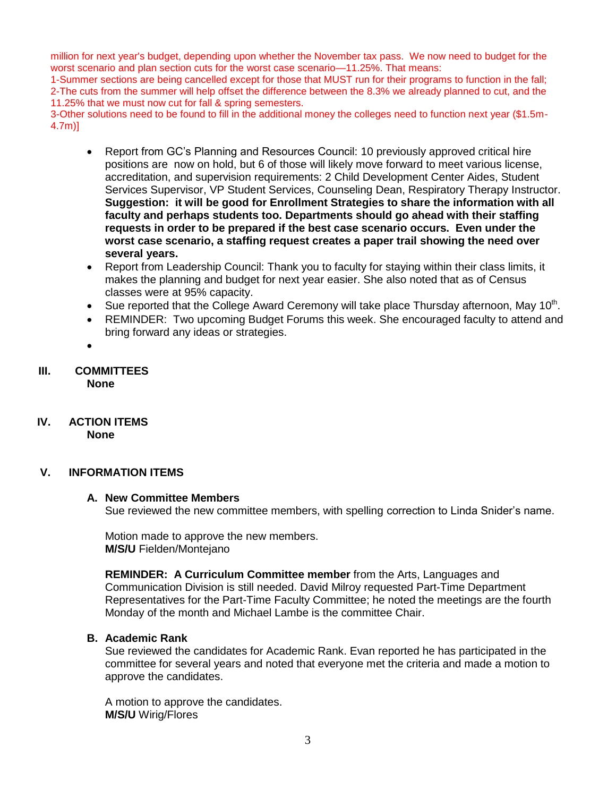million for next year's budget, depending upon whether the November tax pass. We now need to budget for the worst scenario and plan section cuts for the worst case scenario—11.25%. That means:

1-Summer sections are being cancelled except for those that MUST run for their programs to function in the fall; 2-The cuts from the summer will help offset the difference between the 8.3% we already planned to cut, and the 11.25% that we must now cut for fall & spring semesters.

3-Other solutions need to be found to fill in the additional money the colleges need to function next year (\$1.5m-4.7m)]

- Report from GC's Planning and Resources Council: 10 previously approved critical hire positions are now on hold, but 6 of those will likely move forward to meet various license, accreditation, and supervision requirements: 2 Child Development Center Aides, Student Services Supervisor, VP Student Services, Counseling Dean, Respiratory Therapy Instructor. **Suggestion: it will be good for Enrollment Strategies to share the information with all faculty and perhaps students too. Departments should go ahead with their staffing requests in order to be prepared if the best case scenario occurs. Even under the worst case scenario, a staffing request creates a paper trail showing the need over several years.**
- Report from Leadership Council: Thank you to faculty for staying within their class limits, it makes the planning and budget for next year easier. She also noted that as of Census classes were at 95% capacity.
- Sue reported that the College Award Ceremony will take place Thursday afternoon, May 10<sup>th</sup>.
- REMINDER: Two upcoming Budget Forums this week. She encouraged faculty to attend and bring forward any ideas or strategies.
- $\bullet$

#### **III. COMMITTEES None**

**IV. ACTION ITEMS None**

#### **V. INFORMATION ITEMS**

#### **A. New Committee Members**

Sue reviewed the new committee members, with spelling correction to Linda Snider's name.

Motion made to approve the new members. **M/S/U** Fielden/Montejano

**REMINDER: A Curriculum Committee member** from the Arts, Languages and Communication Division is still needed. David Milroy requested Part-Time Department Representatives for the Part-Time Faculty Committee; he noted the meetings are the fourth Monday of the month and Michael Lambe is the committee Chair.

#### **B. Academic Rank**

Sue reviewed the candidates for Academic Rank. Evan reported he has participated in the committee for several years and noted that everyone met the criteria and made a motion to approve the candidates.

A motion to approve the candidates. **M/S/U** Wirig/Flores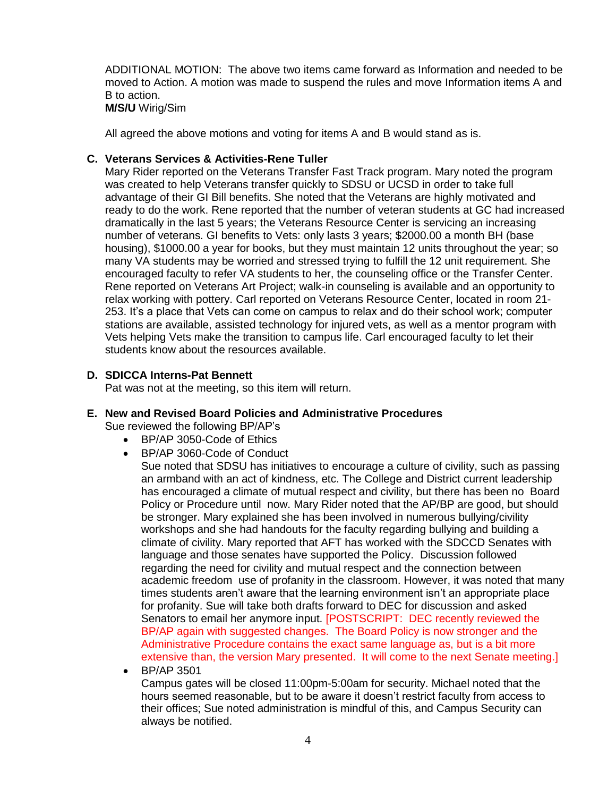ADDITIONAL MOTION: The above two items came forward as Information and needed to be moved to Action. A motion was made to suspend the rules and move Information items A and B to action.

**M/S/U** Wirig/Sim

All agreed the above motions and voting for items A and B would stand as is.

#### **C. Veterans Services & Activities-Rene Tuller**

Mary Rider reported on the Veterans Transfer Fast Track program. Mary noted the program was created to help Veterans transfer quickly to SDSU or UCSD in order to take full advantage of their GI Bill benefits. She noted that the Veterans are highly motivated and ready to do the work. Rene reported that the number of veteran students at GC had increased dramatically in the last 5 years; the Veterans Resource Center is servicing an increasing number of veterans. GI benefits to Vets: only lasts 3 years; \$2000.00 a month BH (base housing), \$1000.00 a year for books, but they must maintain 12 units throughout the year; so many VA students may be worried and stressed trying to fulfill the 12 unit requirement. She encouraged faculty to refer VA students to her, the counseling office or the Transfer Center. Rene reported on Veterans Art Project; walk-in counseling is available and an opportunity to relax working with pottery. Carl reported on Veterans Resource Center, located in room 21- 253. It's a place that Vets can come on campus to relax and do their school work; computer stations are available, assisted technology for injured vets, as well as a mentor program with Vets helping Vets make the transition to campus life. Carl encouraged faculty to let their students know about the resources available.

#### **D. SDICCA Interns-Pat Bennett**

Pat was not at the meeting, so this item will return.

#### **E. New and Revised Board Policies and Administrative Procedures**

Sue reviewed the following BP/AP's

- BP/AP 3050-Code of Ethics
- BP/AP 3060-Code of Conduct
	- Sue noted that SDSU has initiatives to encourage a culture of civility, such as passing an armband with an act of kindness, etc. The College and District current leadership has encouraged a climate of mutual respect and civility, but there has been no Board Policy or Procedure until now. Mary Rider noted that the AP/BP are good, but should be stronger. Mary explained she has been involved in numerous bullying/civility workshops and she had handouts for the faculty regarding bullying and building a climate of civility. Mary reported that AFT has worked with the SDCCD Senates with language and those senates have supported the Policy. Discussion followed regarding the need for civility and mutual respect and the connection between academic freedom use of profanity in the classroom. However, it was noted that many times students aren't aware that the learning environment isn't an appropriate place for profanity. Sue will take both drafts forward to DEC for discussion and asked Senators to email her anymore input. [POSTSCRIPT: DEC recently reviewed the BP/AP again with suggested changes. The Board Policy is now stronger and the Administrative Procedure contains the exact same language as, but is a bit more extensive than, the version Mary presented. It will come to the next Senate meeting.]
- BP/AP 3501

Campus gates will be closed 11:00pm-5:00am for security. Michael noted that the hours seemed reasonable, but to be aware it doesn't restrict faculty from access to their offices; Sue noted administration is mindful of this, and Campus Security can always be notified.